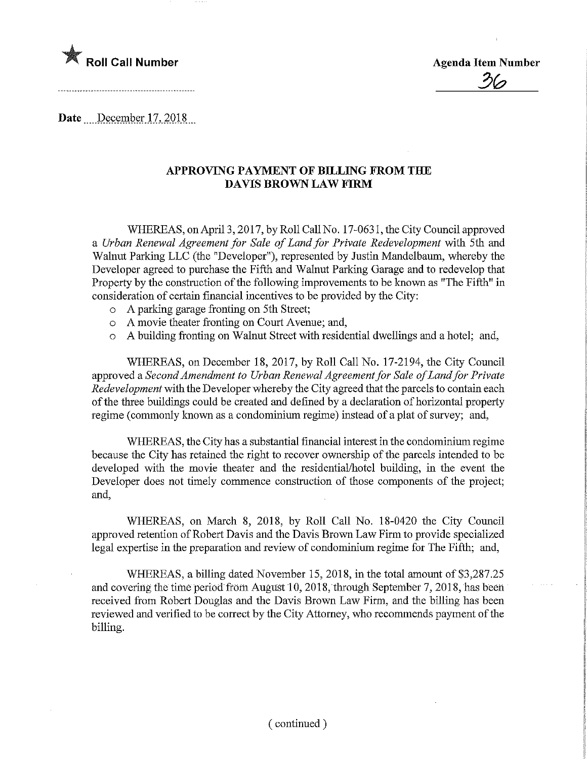

**Agenda Item Number** 

Date December 17, 2018

## APPROVING PAYMENT OF BILLING FROM THE DAVIS BROWN LAW FIRM

WHEREAS, on April 3, 2017, by Roll Call No. 17-0631, the City Council approved a Urban Renewal Agreement for Sale of Land for Private Redevelopment with 5th and Walnut Parking LLC (the "Developer"), represented by Justin Mandelbaum, whereby the Developer agreed to purchase the Fifth and Walnut Parking Garage and to redevelop that Property by the construction of the following improvements to be known as "The Fifth" in consideration of certain financial incentives to be provided by the City:

- o A parking garage fronting on 5th Street;
- o A movie theater fronting on Court Avenue; and,
- o A building fronting on Walnut Street with residential dwellings and a hotel; and,

WHEREAS, on December 18, 2017, by Roll Call No. 17-2194, the City Council approved a Second Amendment to Urban Renewal Agreement for Sale of Land for Private Redevelopment with the Developer whereby the City agreed that the parcels to contain each of the three buildings could be created and defined by a declaration of horizontal property regime (commonly known as a condominium regime) instead of a plat of survey; and,

WHEREAS, the City has a substantial financial interest in the condominium regime because the City has retained the right to recover ownership of the parcels intended to be developed with the movie theater and the residential/hotel building, m the event the Developer does not timely commence construction of those components of the project; and,

WHEREAS, on March 8, 2018, by Roll Call No. 18-0420 the City Council approved retention of Robert Davis and the Davis Brown Law Firm to provide specialized legal expertise in the preparation and review of condominium regime for The Fifth; and,

WHEREAS, a billing dated November 15, 2018, in the total amount of \$3,287.25 and covering the time period from August 10, 2018, through September 7, 2018, has been received from Robert Douglas and the Davis Brown Law Firm, and the billing has been reviewed and verified to be correct by the City Attorney, who recommends payment of the billing.